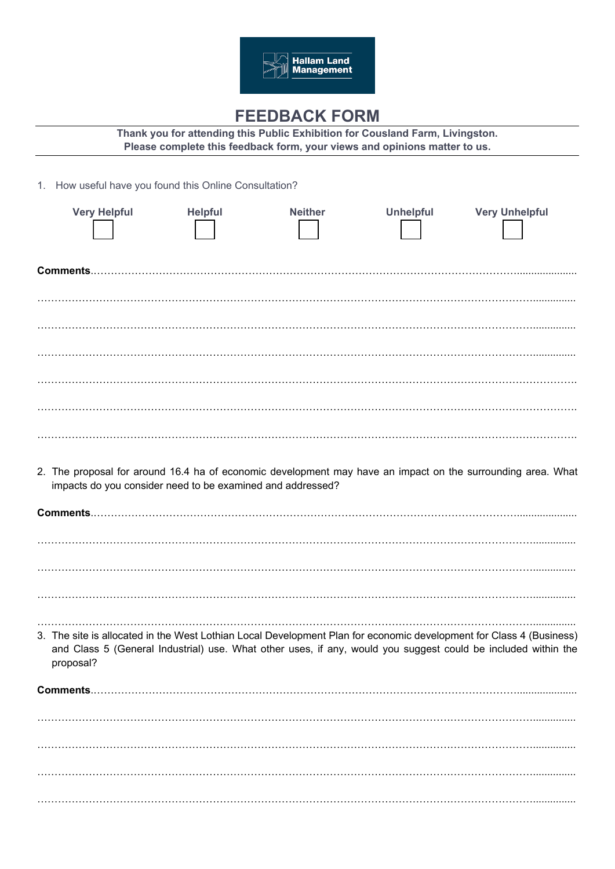

## **FEEDBACK FORM**

**Thank you for attending this Public Exhibition for Cousland Farm, Livingston. Please complete this feedback form, your views and opinions matter to us.** 

1. How useful have you found this Online Consultation?

|                 | <b>Very Helpful</b> | <b>Helpful</b>                                             | <b>Neither</b> | <b>Unhelpful</b> | <b>Very Unhelpful</b>                                                                                                                                                                                                                |
|-----------------|---------------------|------------------------------------------------------------|----------------|------------------|--------------------------------------------------------------------------------------------------------------------------------------------------------------------------------------------------------------------------------------|
|                 |                     |                                                            |                |                  |                                                                                                                                                                                                                                      |
|                 |                     |                                                            |                |                  |                                                                                                                                                                                                                                      |
|                 |                     |                                                            |                |                  |                                                                                                                                                                                                                                      |
|                 |                     |                                                            |                |                  |                                                                                                                                                                                                                                      |
|                 |                     |                                                            |                |                  |                                                                                                                                                                                                                                      |
|                 |                     |                                                            |                |                  |                                                                                                                                                                                                                                      |
|                 |                     | impacts do you consider need to be examined and addressed? |                |                  | 2. The proposal for around 16.4 ha of economic development may have an impact on the surrounding area. What                                                                                                                          |
|                 |                     |                                                            |                |                  |                                                                                                                                                                                                                                      |
|                 |                     |                                                            |                |                  |                                                                                                                                                                                                                                      |
|                 |                     |                                                            |                |                  |                                                                                                                                                                                                                                      |
|                 |                     |                                                            |                |                  |                                                                                                                                                                                                                                      |
| proposal?       |                     |                                                            |                |                  | 3. The site is allocated in the West Lothian Local Development Plan for economic development for Class 4 (Business)<br>and Class 5 (General Industrial) use. What other uses, if any, would you suggest could be included within the |
| <b>Comments</b> |                     |                                                            |                |                  |                                                                                                                                                                                                                                      |
|                 |                     |                                                            |                |                  |                                                                                                                                                                                                                                      |
|                 |                     |                                                            |                |                  |                                                                                                                                                                                                                                      |
|                 |                     |                                                            |                |                  |                                                                                                                                                                                                                                      |
|                 |                     |                                                            |                |                  |                                                                                                                                                                                                                                      |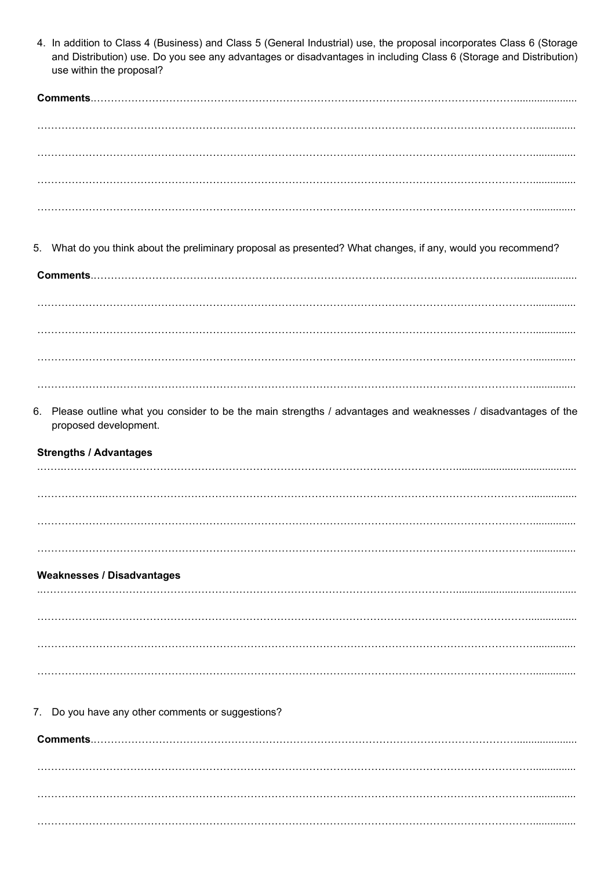|    | 4. In addition to Class 4 (Business) and Class 5 (General Industrial) use, the proposal incorporates Class 6 (Storage<br>and Distribution) use. Do you see any advantages or disadvantages in including Class 6 (Storage and Distribution)<br>use within the proposal? |
|----|------------------------------------------------------------------------------------------------------------------------------------------------------------------------------------------------------------------------------------------------------------------------|
|    |                                                                                                                                                                                                                                                                        |
|    |                                                                                                                                                                                                                                                                        |
|    |                                                                                                                                                                                                                                                                        |
|    |                                                                                                                                                                                                                                                                        |
|    |                                                                                                                                                                                                                                                                        |
|    | 5. What do you think about the preliminary proposal as presented? What changes, if any, would you recommend?                                                                                                                                                           |
|    |                                                                                                                                                                                                                                                                        |
|    |                                                                                                                                                                                                                                                                        |
|    |                                                                                                                                                                                                                                                                        |
|    |                                                                                                                                                                                                                                                                        |
| 6. | Please outline what you consider to be the main strengths / advantages and weaknesses / disadvantages of the<br>proposed development.                                                                                                                                  |
|    | <b>Strengths / Advantages</b>                                                                                                                                                                                                                                          |
|    |                                                                                                                                                                                                                                                                        |
|    |                                                                                                                                                                                                                                                                        |
|    |                                                                                                                                                                                                                                                                        |
|    | <b>Weaknesses / Disadvantages</b>                                                                                                                                                                                                                                      |
|    |                                                                                                                                                                                                                                                                        |
|    |                                                                                                                                                                                                                                                                        |
|    |                                                                                                                                                                                                                                                                        |
|    |                                                                                                                                                                                                                                                                        |
|    | 7. Do you have any other comments or suggestions?                                                                                                                                                                                                                      |
|    | <b>Comments</b>                                                                                                                                                                                                                                                        |
|    |                                                                                                                                                                                                                                                                        |